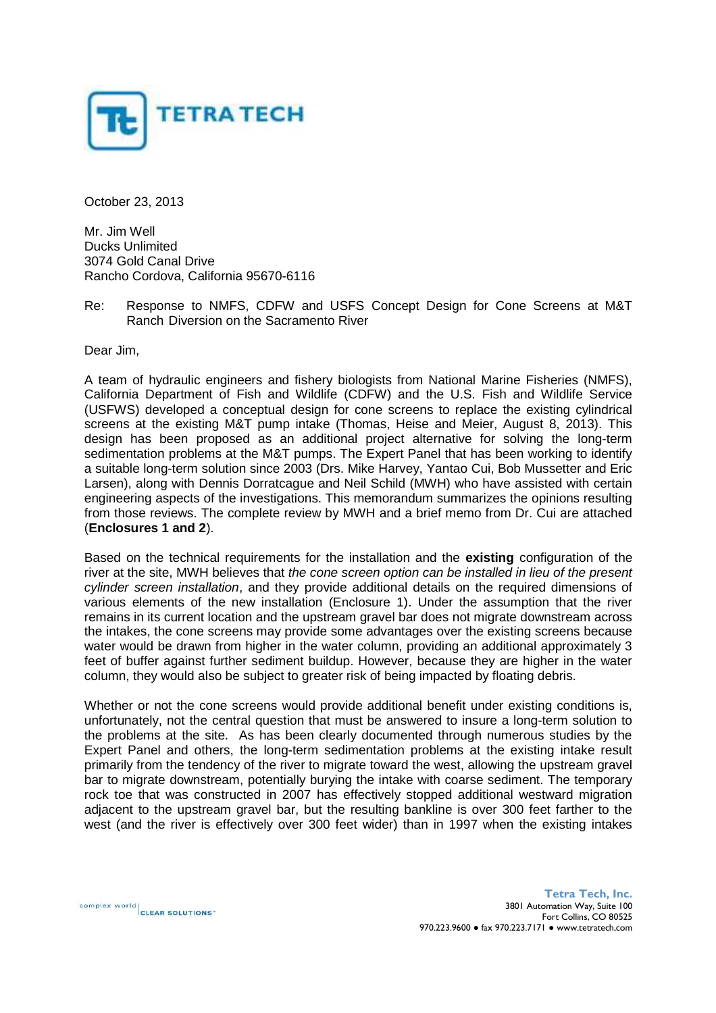

October 23, 2013

Mr. Jim Well Ducks Unlimited 3074 Gold Canal Drive Rancho Cordova, California 95670-6116

Re: Response to NMFS, CDFW and USFS Concept Design for Cone Screens at M&T Ranch Diversion on the Sacramento River

Dear Jim,

A team of hydraulic engineers and fishery biologists from National Marine Fisheries (NMFS), California Department of Fish and Wildlife (CDFW) and the U.S. Fish and Wildlife Service (USFWS) developed a conceptual design for cone screens to replace the existing cylindrical screens at the existing M&T pump intake (Thomas, Heise and Meier, August 8, 2013). This design has been proposed as an additional project alternative for solving the long-term sedimentation problems at the M&T pumps. The Expert Panel that has been working to identify a suitable long-term solution since 2003 (Drs. Mike Harvey, Yantao Cui, Bob Mussetter and Eric Larsen), along with Dennis Dorratcague and Neil Schild (MWH) who have assisted with certain engineering aspects of the investigations. This memorandum summarizes the opinions resulting from those reviews. The complete review by MWH and a brief memo from Dr. Cui are attached (**Enclosures 1 and 2**).

Based on the technical requirements for the installation and the **existing** configuration of the river at the site, MWH believes that *the cone screen option can be installed in lieu of the present cylinder screen installation*, and they provide additional details on the required dimensions of various elements of the new installation (Enclosure 1). Under the assumption that the river remains in its current location and the upstream gravel bar does not migrate downstream across the intakes, the cone screens may provide some advantages over the existing screens because water would be drawn from higher in the water column, providing an additional approximately 3 feet of buffer against further sediment buildup. However, because they are higher in the water column, they would also be subject to greater risk of being impacted by floating debris.

Whether or not the cone screens would provide additional benefit under existing conditions is, unfortunately, not the central question that must be answered to insure a long-term solution to the problems at the site. As has been clearly documented through numerous studies by the Expert Panel and others, the long-term sedimentation problems at the existing intake result primarily from the tendency of the river to migrate toward the west, allowing the upstream gravel bar to migrate downstream, potentially burying the intake with coarse sediment. The temporary rock toe that was constructed in 2007 has effectively stopped additional westward migration adjacent to the upstream gravel bar, but the resulting bankline is over 300 feet farther to the west (and the river is effectively over 300 feet wider) than in 1997 when the existing intakes

complex world CLEAR SOLUTIONS"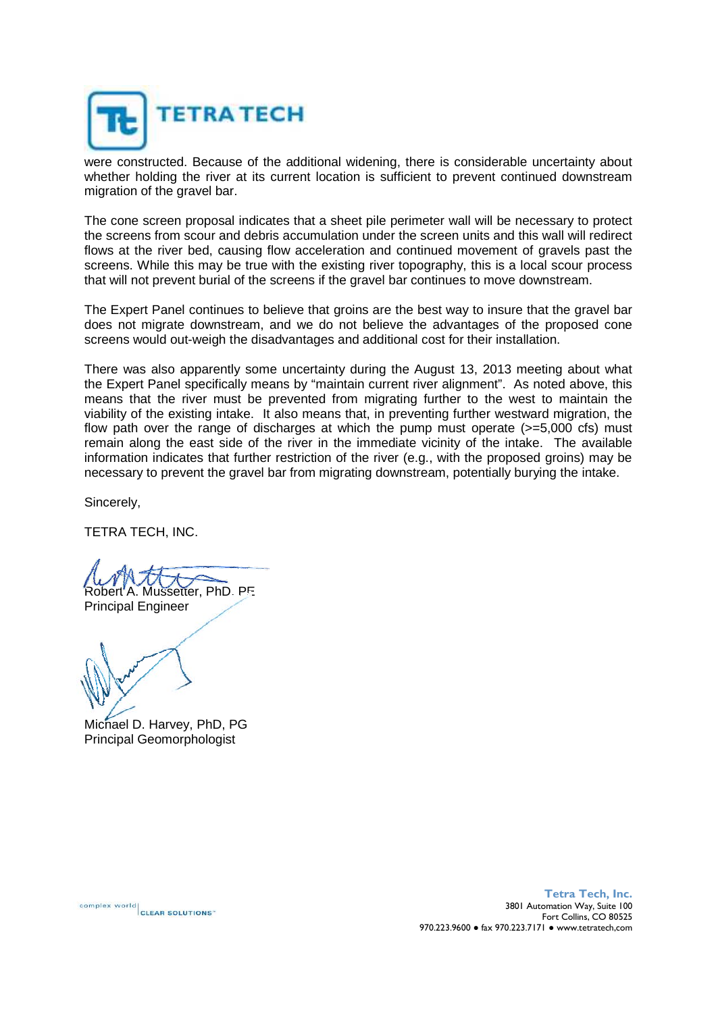

were constructed. Because of the additional widening, there is considerable uncertainty about whether holding the river at its current location is sufficient to prevent continued downstream migration of the gravel bar.

The cone screen proposal indicates that a sheet pile perimeter wall will be necessary to protect the screens from scour and debris accumulation under the screen units and this wall will redirect flows at the river bed, causing flow acceleration and continued movement of gravels past the screens. While this may be true with the existing river topography, this is a local scour process that will not prevent burial of the screens if the gravel bar continues to move downstream.

The Expert Panel continues to believe that groins are the best way to insure that the gravel bar does not migrate downstream, and we do not believe the advantages of the proposed cone screens would out-weigh the disadvantages and additional cost for their installation.

There was also apparently some uncertainty during the August 13, 2013 meeting about what the Expert Panel specifically means by "maintain current river alignment". As noted above, this means that the river must be prevented from migrating further to the west to maintain the viability of the existing intake. It also means that, in preventing further westward migration, the flow path over the range of discharges at which the pump must operate (>=5,000 cfs) must remain along the east side of the river in the immediate vicinity of the intake. The available information indicates that further restriction of the river (e.g., with the proposed groins) may be necessary to prevent the gravel bar from migrating downstream, potentially burying the intake.

Sincerely,

TETRA TECH, INC.

etter, PhD, PF Principal Engineer

Michael D. Harvey, PhD, PG Principal Geomorphologist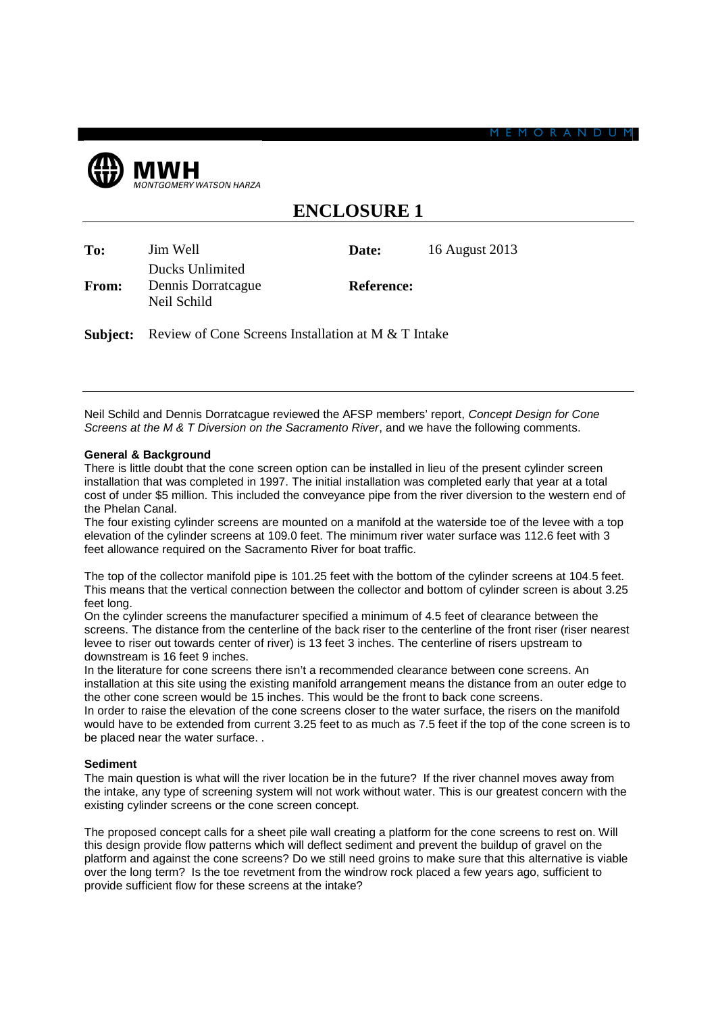

| To:          | Jim Well<br>Ducks Unlimited                         | Date:             | 16 August 2013 |
|--------------|-----------------------------------------------------|-------------------|----------------|
| <b>From:</b> | Dennis Dorratcague<br>Neil Schild                   | <b>Reference:</b> |                |
| Subject:     | Review of Cone Screens Installation at M & T Intake |                   |                |

**ENCLOSURE 1**

Neil Schild and Dennis Dorratcague reviewed the AFSP members' report, *Concept Design for Cone Screens at the M & T Diversion on the Sacramento River*, and we have the following comments.

## **General & Background**

There is little doubt that the cone screen option can be installed in lieu of the present cylinder screen installation that was completed in 1997. The initial installation was completed early that year at a total cost of under \$5 million. This included the conveyance pipe from the river diversion to the western end of the Phelan Canal.

The four existing cylinder screens are mounted on a manifold at the waterside toe of the levee with a top elevation of the cylinder screens at 109.0 feet. The minimum river water surface was 112.6 feet with 3 feet allowance required on the Sacramento River for boat traffic.

The top of the collector manifold pipe is 101.25 feet with the bottom of the cylinder screens at 104.5 feet. This means that the vertical connection between the collector and bottom of cylinder screen is about 3.25 feet long.

On the cylinder screens the manufacturer specified a minimum of 4.5 feet of clearance between the screens. The distance from the centerline of the back riser to the centerline of the front riser (riser nearest levee to riser out towards center of river) is 13 feet 3 inches. The centerline of risers upstream to downstream is 16 feet 9 inches.

In the literature for cone screens there isn't a recommended clearance between cone screens. An installation at this site using the existing manifold arrangement means the distance from an outer edge to the other cone screen would be 15 inches. This would be the front to back cone screens.

In order to raise the elevation of the cone screens closer to the water surface, the risers on the manifold would have to be extended from current 3.25 feet to as much as 7.5 feet if the top of the cone screen is to be placed near the water surface. .

# **Sediment**

The main question is what will the river location be in the future? If the river channel moves away from the intake, any type of screening system will not work without water. This is our greatest concern with the existing cylinder screens or the cone screen concept.

The proposed concept calls for a sheet pile wall creating a platform for the cone screens to rest on. Will this design provide flow patterns which will deflect sediment and prevent the buildup of gravel on the platform and against the cone screens? Do we still need groins to make sure that this alternative is viable over the long term? Is the toe revetment from the windrow rock placed a few years ago, sufficient to provide sufficient flow for these screens at the intake?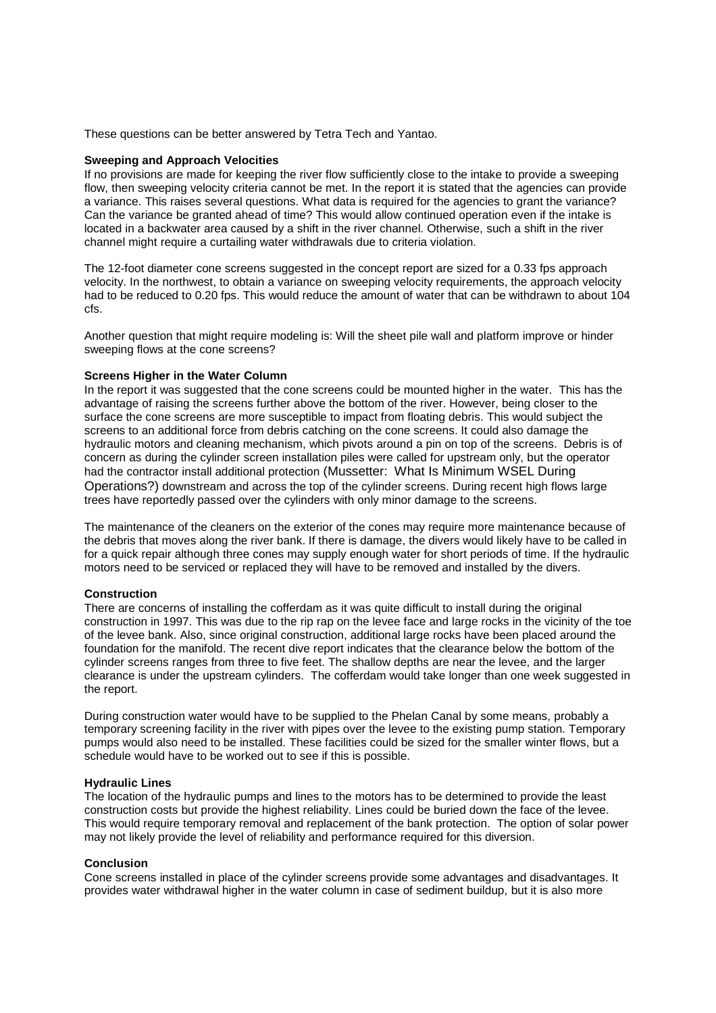These questions can be better answered by Tetra Tech and Yantao.

## **Sweeping and Approach Velocities**

If no provisions are made for keeping the river flow sufficiently close to the intake to provide a sweeping flow, then sweeping velocity criteria cannot be met. In the report it is stated that the agencies can provide a variance. This raises several questions. What data is required for the agencies to grant the variance? Can the variance be granted ahead of time? This would allow continued operation even if the intake is located in a backwater area caused by a shift in the river channel. Otherwise, such a shift in the river channel might require a curtailing water withdrawals due to criteria violation.

The 12-foot diameter cone screens suggested in the concept report are sized for a 0.33 fps approach velocity. In the northwest, to obtain a variance on sweeping velocity requirements, the approach velocity had to be reduced to 0.20 fps. This would reduce the amount of water that can be withdrawn to about 104 cfs.

Another question that might require modeling is: Will the sheet pile wall and platform improve or hinder sweeping flows at the cone screens?

# **Screens Higher in the Water Column**

In the report it was suggested that the cone screens could be mounted higher in the water. This has the advantage of raising the screens further above the bottom of the river. However, being closer to the surface the cone screens are more susceptible to impact from floating debris. This would subject the screens to an additional force from debris catching on the cone screens. It could also damage the hydraulic motors and cleaning mechanism, which pivots around a pin on top of the screens. Debris is of concern as during the cylinder screen installation piles were called for upstream only, but the operator had the contractor install additional protection (Mussetter: What Is Minimum WSEL During Operations?) downstream and across the top of the cylinder screens. During recent high flows large trees have reportedly passed over the cylinders with only minor damage to the screens.

The maintenance of the cleaners on the exterior of the cones may require more maintenance because of the debris that moves along the river bank. If there is damage, the divers would likely have to be called in for a quick repair although three cones may supply enough water for short periods of time. If the hydraulic motors need to be serviced or replaced they will have to be removed and installed by the divers.

#### **Construction**

There are concerns of installing the cofferdam as it was quite difficult to install during the original construction in 1997. This was due to the rip rap on the levee face and large rocks in the vicinity of the toe of the levee bank. Also, since original construction, additional large rocks have been placed around the foundation for the manifold. The recent dive report indicates that the clearance below the bottom of the cylinder screens ranges from three to five feet. The shallow depths are near the levee, and the larger clearance is under the upstream cylinders. The cofferdam would take longer than one week suggested in the report.

During construction water would have to be supplied to the Phelan Canal by some means, probably a temporary screening facility in the river with pipes over the levee to the existing pump station. Temporary pumps would also need to be installed. These facilities could be sized for the smaller winter flows, but a schedule would have to be worked out to see if this is possible.

## **Hydraulic Lines**

The location of the hydraulic pumps and lines to the motors has to be determined to provide the least construction costs but provide the highest reliability. Lines could be buried down the face of the levee. This would require temporary removal and replacement of the bank protection. The option of solar power may not likely provide the level of reliability and performance required for this diversion.

#### **Conclusion**

Cone screens installed in place of the cylinder screens provide some advantages and disadvantages. It provides water withdrawal higher in the water column in case of sediment buildup, but it is also more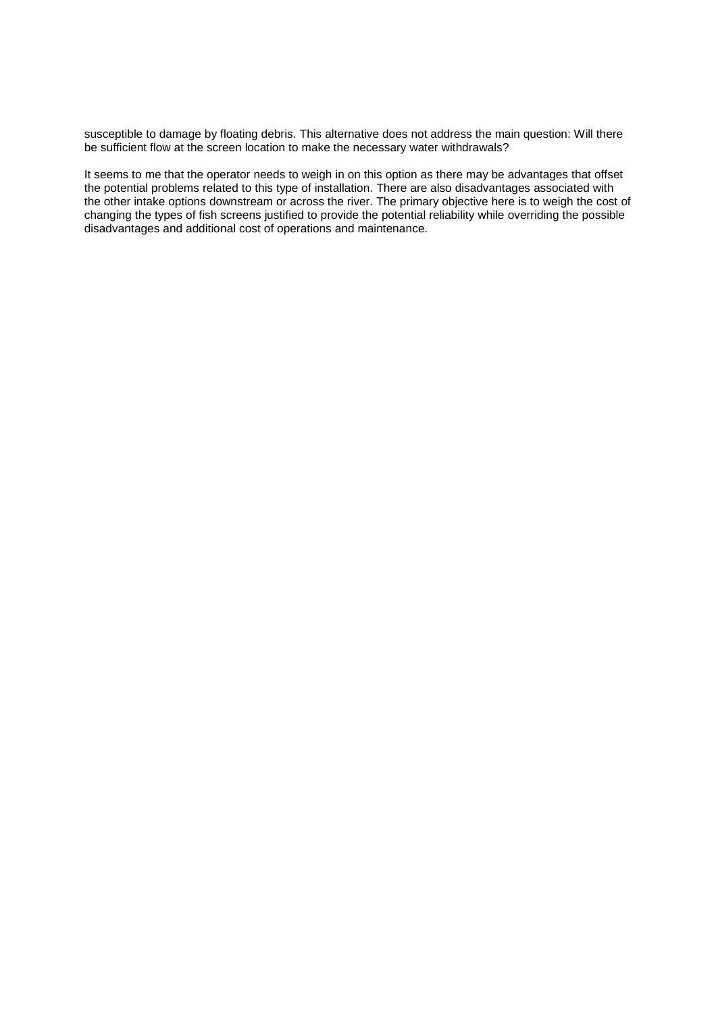susceptible to damage by floating debris. This alternative does not address the main question: Will there be sufficient flow at the screen location to make the necessary water withdrawals?

It seems to me that the operator needs to weigh in on this option as there may be advantages that offset the potential problems related to this type of installation. There are also disadvantages associated with the other intake options downstream or across the river. The primary objective here is to weigh the cost of changing the types of fish screens justified to provide the potential reliability while overriding the possible disadvantages and additional cost of operations and maintenance.